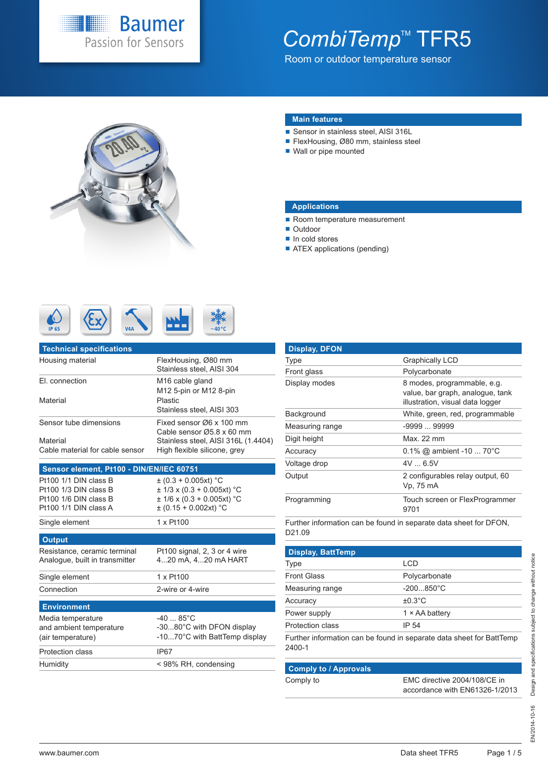

## CombiTemp<sup>™</sup> TFR5

Room or outdoor temperature sensor



#### **Main features**

- Sensor in stainless steel, AISI 316L
- FlexHousing, Ø80 mm, stainless steel
- Wall or pipe mounted

#### **Applications**

- Room temperature measurement
- Outdoor
- In cold stores
- **ATEX** applications (pending)



| <b>Technical specifications</b>             |                                                                     |
|---------------------------------------------|---------------------------------------------------------------------|
| Housing material                            | FlexHousing, Ø80 mm<br>Stainless steel, AISI 304                    |
| El. connection                              | M <sub>16</sub> cable gland<br>M12 5-pin or M12 8-pin               |
| Material                                    | Plastic<br>Stainless steel, AISI 303                                |
| Sensor tube dimensions                      | Fixed sensor Ø6 x 100 mm<br>Cable sensor Ø5.8 x 60 mm               |
| Material<br>Cable material for cable sensor | Stainless steel, AISI 316L (1.4404)<br>High flexible silicone, grey |
|                                             |                                                                     |

#### **Sensor element, Pt100 - DIN/EN/IEC 60751**

| Single element        | 1 x Pt100                      |
|-----------------------|--------------------------------|
| Pt100 1/1 DIN class A | $\pm$ (0.15 + 0.002xt) °C      |
| Pt100 1/6 DIN class B | $\pm$ 1/6 x (0.3 + 0.005xt) °C |
| Pt100 1/3 DIN class B | $\pm$ 1/3 x (0.3 + 0.005xt) °C |
| Pt100 1/1 DIN class B | $\pm$ (0.3 + 0.005xt) °C       |

#### **Output**

Resistance, ceramic terminal Analogue, built in transmitter Pt100 signal, 2, 3 or 4 wire 4...20 mA, 4...20 mA HART

Single element 1 x Pt100 Connection 2-wire or 4-wire

#### **Environment** Media temperature and ambient temperature (air temperature) -40 ... 85°C -30...80°C with DFON display -10...70°C with BattTemp display Protection class **IP67**

| <b>Display, DFON</b> |                                                                                                     |
|----------------------|-----------------------------------------------------------------------------------------------------|
| <b>Type</b>          | <b>Graphically LCD</b>                                                                              |
| Front glass          | Polycarbonate                                                                                       |
| Display modes        | 8 modes, programmable, e.g.<br>value, bar graph, analogue, tank<br>illustration, visual data logger |
| Background           | White, green, red, programmable                                                                     |
| Measuring range      | $-999999999$                                                                                        |
| Digit height         | Max $22 \text{ mm}$                                                                                 |
| Accuracy             | $0.1\%$ @ ambient -10  70°C                                                                         |
| Voltage drop         | $4V = 6.5V$                                                                                         |
| Output               | 2 configurables relay output, 60<br>Vp. 75 mA                                                       |
| Programming          | Touch screen or FlexProgrammer<br>9701                                                              |

Further information can be found in separate data sheet for DFON, D21.09

| <b>Display, BattTemp</b> |                                                                      |
|--------------------------|----------------------------------------------------------------------|
| <b>Type</b>              | LCD                                                                  |
| <b>Front Glass</b>       | Polycarbonate                                                        |
| Measuring range          | $-200850^{\circ}C$                                                   |
| Accuracy                 | $\pm 0.3$ °C                                                         |
| Power supply             | $1 \times AA$ battery                                                |
| Protection class         | IP 54                                                                |
| 2400-1                   | Further information can be found in separate data sheet for BattTemp |

### Humidity < 98% RH, condensing **Comply to / Approvals**

Comply to EMC directive 2004/108/CE in accordance with EN61326-1/2013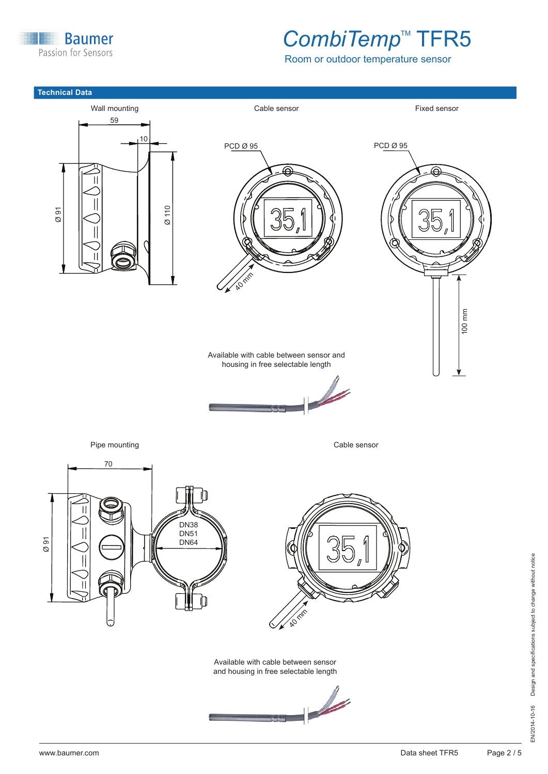**Baumer** B Passion for Sensors

## CombiTemp<sup>™</sup> TFR5

Room or outdoor temperature sensor

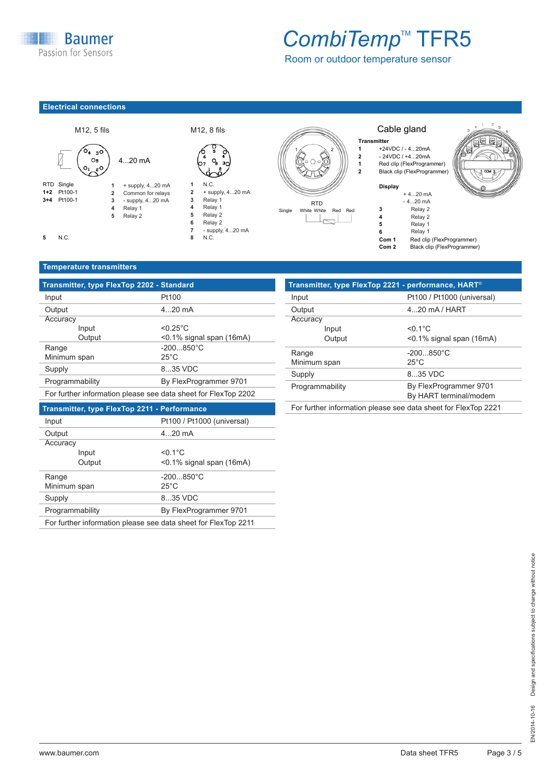**Baumer** Passion for Sensors

## CombiTemp<sup>™</sup> TFR5

Room or outdoor temperature sensor

### **Electrical connections Electrical connections**





 - supply, 4...20 mA **2** + supply, 4...20 mA Relay 1 **3** Relay 1 Relay 1 **4** Relay 1 Relay 2 **5** Relay 2 Relay 2 **6** Relay 2 + supply, 4...20 mA **7** - supply, 4...20 mA N.C. **8** N.C.



#### Cable gland

### **Transmitter**

1 +24VDC / - 4...20mA<br>2 - 24VDC / +4...20mA **2** - 24VDC / +4...20mA<br> **1** Red clip (FlexProgram<br> **2** Black clip (FlexProgram **1** Red clip (FlexProgrammer) **2 Pred clip (FlexProgrammer)** 





**Com 1** Red clip (FlexProgrammer)<br>**Com 2** Black clip (FlexProgrammer) **Black clip (FlexProgrammer)** 

#### **Dimensions (mm) Temperature transmitters**

| Transmitter, type FlexTop 2202 - Standard                      |                                       |                       | Transmitter, type FlexTop 2221 - performance, HART <sup>®</sup> |
|----------------------------------------------------------------|---------------------------------------|-----------------------|-----------------------------------------------------------------|
| Input                                                          | Pt100                                 | Input                 | Pt100 / Pt1000 (univers                                         |
| Output                                                         | $420$ mA                              | Output                | $420$ mA / HART                                                 |
| Accuracy                                                       |                                       | Accuracy              |                                                                 |
| Input                                                          | $< 0.25$ °C                           | Input                 | $< 0.1$ °C                                                      |
| Output                                                         | $<$ 0.1% signal span (16mA)           | Output                | $<$ 0.1% signal span (16n)                                      |
| Range<br>Minimum span                                          | $-200850^{\circ}$ C<br>$25^{\circ}$ C | Range<br>Minimum span | $-200850^{\circ}$ C<br>$25^{\circ}$ C                           |
| Supply                                                         | 835 VDC                               |                       |                                                                 |
|                                                                |                                       | Supply                | 835 VDC                                                         |
| By FlexProgrammer 9701<br>Programmability                      |                                       | Programmability       | By FlexProgrammer 97                                            |
| For further information please see data sheet for FlexTop 2202 |                                       |                       | By HART terminal/mode                                           |
|                                                                |                                       |                       |                                                                 |

#### **Transmitter, type FlexTop 2211 - Performance**

| Pt100 / Pt1000 (universal)<br>Input       |              |                                                                |
|-------------------------------------------|--------------|----------------------------------------------------------------|
| Output                                    |              | $420$ mA                                                       |
| Accuracy                                  |              |                                                                |
|                                           | Input        | $< 0.1$ °C                                                     |
|                                           | Output       | $<$ 0.1% signal span (16mA)                                    |
| Range                                     |              | $-200850^{\circ}$ C                                            |
|                                           | Minimum span | $25^{\circ}$ C                                                 |
| Supply                                    |              | 835 VDC                                                        |
| By FlexProgrammer 9701<br>Programmability |              |                                                                |
|                                           |              | For further information please see data sheet for FlexTop 2211 |

| Transmitter, type FlexTop 2221 - performance, HART <sup>®</sup> |                             |  |
|-----------------------------------------------------------------|-----------------------------|--|
| Input                                                           | Pt100 / Pt1000 (universal)  |  |
| Output                                                          | $4.20$ mA / HART            |  |
| Accuracy                                                        |                             |  |
| Input                                                           | $< 0.1$ °C                  |  |
| Output                                                          | $<$ 0.1% signal span (16mA) |  |
| Range                                                           | $-200850^{\circ}$ C         |  |
| Minimum span                                                    | $25^{\circ}$ C              |  |
| Supply                                                          | 8.35 VDC                    |  |
| Programmability                                                 | By FlexProgrammer 9701      |  |
|                                                                 | By HART terminal/modem      |  |
| For further information please see data sheet for FlexTop 2221  |                             |  |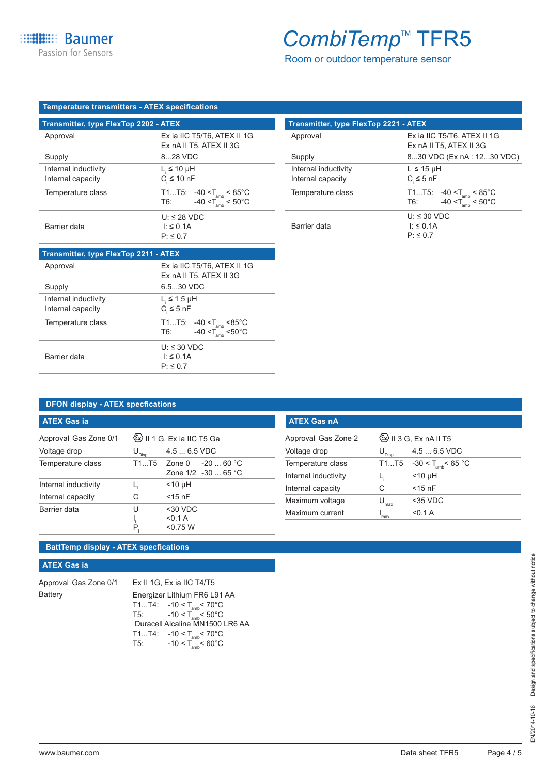## CombiTemp<sup>™</sup> TFR5

Room or outdoor temperature sensor

| Temperature transmitters - ATEX specifications |  |  |
|------------------------------------------------|--|--|
|                                                |  |  |

| <b>Transmitter, type FlexTop 2202 - ATEX</b> |                                              |  |  |
|----------------------------------------------|----------------------------------------------|--|--|
| Approval                                     | Ex ia IIC T5/T6, ATEX II 1G                  |  |  |
|                                              | Ex nA II T5, ATEX II 3G                      |  |  |
| Supply                                       | 828 VDC                                      |  |  |
| Internal inductivity                         | $L_{\text{I}} \leq 10 \mu H$                 |  |  |
| Internal capacity                            | $C \leq 10$ nF                               |  |  |
| Temperature class                            | T1T5: -40 < $T_{\text{amb}}$ < 85°C          |  |  |
|                                              | $-40 < T_{\text{amb}} < 50^{\circ}$ C<br>T6: |  |  |
|                                              | $U: \leq 28$ VDC                             |  |  |
| Barrier data                                 | $\vert$ : $\leq$ 0.1A                        |  |  |
|                                              | $P: \leq 0.7$                                |  |  |

| <b>Transmitter, type FlexTop 2211 - ATEX</b> |                                                                                      |  |
|----------------------------------------------|--------------------------------------------------------------------------------------|--|
| Approval                                     | Ex ia IIC T5/T6, ATEX II 1G<br>Ex nA II T5, ATEX II 3G                               |  |
| Supply                                       | 6.5.30 VDC                                                                           |  |
| Internal inductivity<br>Internal capacity    | $L_i \leq 1.5$ µH<br>$C_{\rm s} \leq 5$ nF                                           |  |
| Temperature class                            | T1T5: $-40 < T_{amb} < 85^{\circ}$ C<br>$-40 < T_{\text{amb}} < 50^{\circ}$ C<br>T6: |  |
| Barrier data                                 | $U: \leq 30$ VDC<br>$\vert \cdot \vert \leq 0.1$ A<br>$P: \leq 0.7$                  |  |

| <b>Transmitter, type FlexTop 2221 - ATEX</b> |                                                                              |  |  |
|----------------------------------------------|------------------------------------------------------------------------------|--|--|
| Approval                                     | Ex ia IIC T5/T6, ATEX II 1G<br>Ex nA II T5, ATEX II 3G                       |  |  |
| Supply                                       | 830 VDC (Ex nA : 1230 VDC)                                                   |  |  |
| Internal inductivity<br>Internal capacity    | $L_{\text{I}} \leq 15 \mu H$<br>$C \leq 5$ nF                                |  |  |
| Temperature class                            | T1T5: -40 < $T_{\text{amb}}$ < 85°C<br>$-40 < T_{amb} < 50^{\circ}$ C<br>T6: |  |  |
| Barrier data                                 | $U: \leq 30$ VDC<br>$\vert$ : $\leq$ 0.1A<br>$P: \leq 0.7$                   |  |  |

### **DFON display - ATEX specfications**

| <b>ATEX Gas ia</b>    |                              |                              | <b>ATEX Gas nA</b> |
|-----------------------|------------------------------|------------------------------|--------------------|
| Approval Gas Zone 0/1 |                              | (Ex) II 1 G, Ex ia IIC T5 Ga | Approval Gas Z     |
| Voltage drop          | $\mathsf{U}_{\mathsf{Disp}}$ | $4.56.5$ VDC                 | Voltage drop       |
| Temperature class     | T1T5                         | -20  60 °C<br>Zone 0         | Temperature cla    |
|                       |                              | Zone $1/2 -30$ 65 °C         | Internal inductiv  |
| Internal inductivity  |                              | $<$ 10 µH                    | Internal capacity  |
| Internal capacity     | С                            | $<$ 15 nF                    | Maximum volta      |
| Barrier data          | U                            | $30$ VDC                     | Maximum curre      |
|                       | P,                           | < 0.1 A<br>< 0.75 W          |                    |

### **BattTemp display - ATEX specfications**

#### **ATEX Gas ia**

| Approval Gas Zone 0/1 Ex II 1G, Ex ia IIC T4/T5 |                                                                                                                                                                                                                                    |  |
|-------------------------------------------------|------------------------------------------------------------------------------------------------------------------------------------------------------------------------------------------------------------------------------------|--|
| <b>Battery</b>                                  | Energizer Lithium FR6 L91 AA<br>T1T4: $-10 < T_{amb} < 70^{\circ}$ C<br>T5: $-10 < T_{amb} < 50^{\circ}$ C<br>Duracell Alcaline MN1500 LR6 AA<br>T1T4: $-10 < T_{amb} < 70^{\circ}$ C<br>T5: $-10 < T_{\text{amb}} < 60^{\circ}$ C |  |

| <b>ATEX Gas nA</b>   |                              |                                         |  |
|----------------------|------------------------------|-----------------------------------------|--|
| Approval Gas Zone 2  |                              | $\langle x \rangle$ II 3 G, Ex nA II T5 |  |
| Voltage drop         | $\mathsf{U}_{\mathsf{Disp}}$ | $4.56.5$ VDC                            |  |
| Temperature class    | T1T5                         | $-30 < T_{\text{amb}} < 65 \text{ °C}$  |  |
| Internal inductivity |                              | $<$ 10 µH                               |  |
| Internal capacity    | C,                           | $<$ 15 nF                               |  |
| Maximum voltage      | max                          | $35 VDC$                                |  |
| Maximum current      | max                          | <∩ 1 A                                  |  |